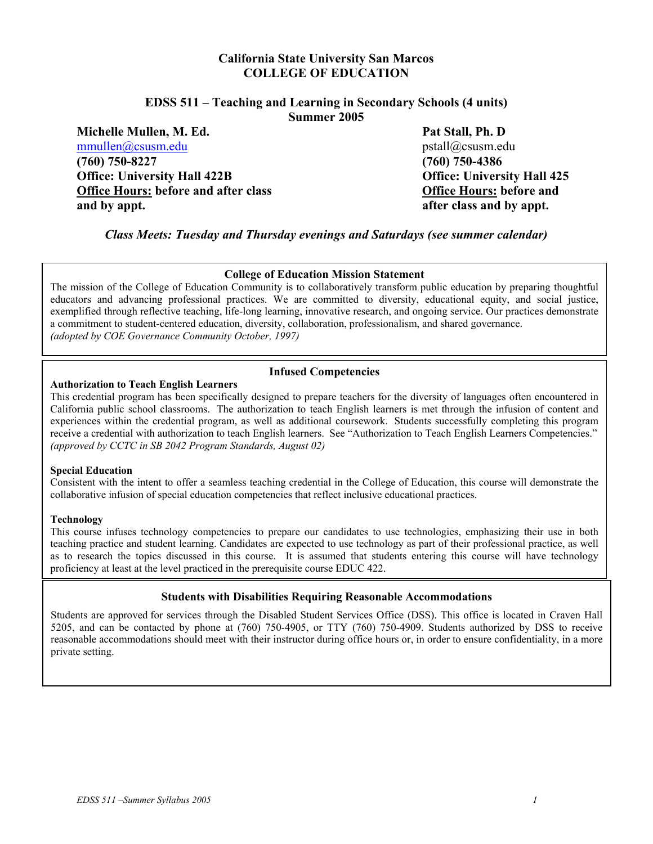## **California State University San Marcos COLLEGE OF EDUCATION**

#### **EDSS 511 – Teaching and Learning in Secondary Schools (4 units) Summer 2005**

**Michelle Mullen, M. Ed.** Pat Stall, Ph. D **Pat Stall, Ph. D produce the path of the product** product product product product product product product product product product product product product product product produc  $mmullen@csusm.edu$ **(760) 750-8227 (760) 750-4386 Office: University Hall 422B Office: University Hall 425 Office Hours: before and after class Office Hours: before and and by appt. after class and by appt.** 

*Class Meets: Tuesday and Thursday evenings and Saturdays (see summer calendar)*

#### **College of Education Mission Statement**

The mission of the College of Education Community is to collaboratively transform public education by preparing thoughtful educators and advancing professional practices. We are committed to diversity, educational equity, and social justice, exemplified through reflective teaching, life-long learning, innovative research, and ongoing service. Our practices demonstrate a commitment to student-centered education, diversity, collaboration, professionalism, and shared governance. *(adopted by COE Governance Community October, 1997)*

#### **Authorization to Teach English Learners**

#### **Infused Competencies**

This credential program has been specifically designed to prepare teachers for the diversity of languages often encountered in California public school classrooms. The authorization to teach English learners is met through the infusion of content and experiences within the credential program, as well as additional coursework. Students successfully completing this program receive a credential with authorization to teach English learners. See "Authorization to Teach English Learners Competencies." *(approved by CCTC in SB 2042 Program Standards, August 02)* 

#### **Special Education**

Consistent with the intent to offer a seamless teaching credential in the College of Education, this course will demonstrate the collaborative infusion of special education competencies that reflect inclusive educational practices.

#### **Technology**

This course infuses technology competencies to prepare our candidates to use technologies, emphasizing their use in both teaching practice and student learning. Candidates are expected to use technology as part of their professional practice, as well as to research the topics discussed in this course. It is assumed that students entering this course will have technology proficiency at least at the level practiced in the prerequisite course EDUC 422.

#### **Students with Disabilities Requiring Reasonable Accommodations**

Students are approved for services through the Disabled Student Services Office (DSS). This office is located in Craven Hall 5205, and can be contacted by phone at (760) 750-4905, or TTY (760) 750-4909. Students authorized by DSS to receive reasonable accommodations should meet with their instructor during office hours or, in order to ensure confidentiality, in a more private setting.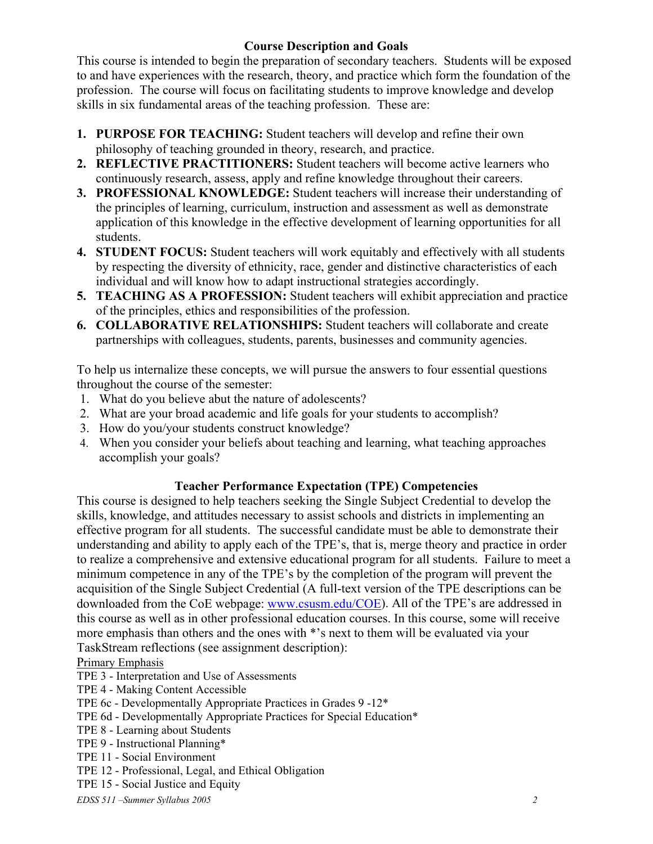# **Course Description and Goals**

This course is intended to begin the preparation of secondary teachers. Students will be exposed to and have experiences with the research, theory, and practice which form the foundation of the profession. The course will focus on facilitating students to improve knowledge and develop skills in six fundamental areas of the teaching profession. These are:

- **1. PURPOSE FOR TEACHING:** Student teachers will develop and refine their own philosophy of teaching grounded in theory, research, and practice.
- **2. REFLECTIVE PRACTITIONERS:** Student teachers will become active learners who continuously research, assess, apply and refine knowledge throughout their careers.
- **3. PROFESSIONAL KNOWLEDGE:** Student teachers will increase their understanding of the principles of learning, curriculum, instruction and assessment as well as demonstrate application of this knowledge in the effective development of learning opportunities for all students.
- **4. STUDENT FOCUS:** Student teachers will work equitably and effectively with all students by respecting the diversity of ethnicity, race, gender and distinctive characteristics of each individual and will know how to adapt instructional strategies accordingly.
- **5. TEACHING AS A PROFESSION:** Student teachers will exhibit appreciation and practice of the principles, ethics and responsibilities of the profession.
- **6. COLLABORATIVE RELATIONSHIPS:** Student teachers will collaborate and create partnerships with colleagues, students, parents, businesses and community agencies.

To help us internalize these concepts, we will pursue the answers to four essential questions throughout the course of the semester:

- 1. What do you believe abut the nature of adolescents?
- 2. What are your broad academic and life goals for your students to accomplish?
- 3. How do you/your students construct knowledge?
- 4. When you consider your beliefs about teaching and learning, what teaching approaches accomplish your goals?

# **Teacher Performance Expectation (TPE) Competencies**

This course is designed to help teachers seeking the Single Subject Credential to develop the skills, knowledge, and attitudes necessary to assist schools and districts in implementing an effective program for all students. The successful candidate must be able to demonstrate their understanding and ability to apply each of the TPE's, that is, merge theory and practice in order to realize a comprehensive and extensive educational program for all students. Failure to meet a minimum competence in any of the TPE's by the completion of the program will prevent the acquisition of the Single Subject Credential (A full-text version of the TPE descriptions can be downloaded from the CoE webpage: www.csusm.edu/COE). All of the TPE's are addressed in this course as well as in other professional education courses. In this course, some will receive more emphasis than others and the ones with \*'s next to them will be evaluated via your TaskStream reflections (see assignment description):

# Primary Emphasis

- TPE 3 Interpretation and Use of Assessments
- TPE 4 Making Content Accessible
- TPE 6c Developmentally Appropriate Practices in Grades 9 -12\*
- TPE 6d Developmentally Appropriate Practices for Special Education\*
- TPE 8 Learning about Students
- TPE 9 Instructional Planning\*
- TPE 11 Social Environment
- TPE 12 Professional, Legal, and Ethical Obligation
- TPE 15 Social Justice and Equity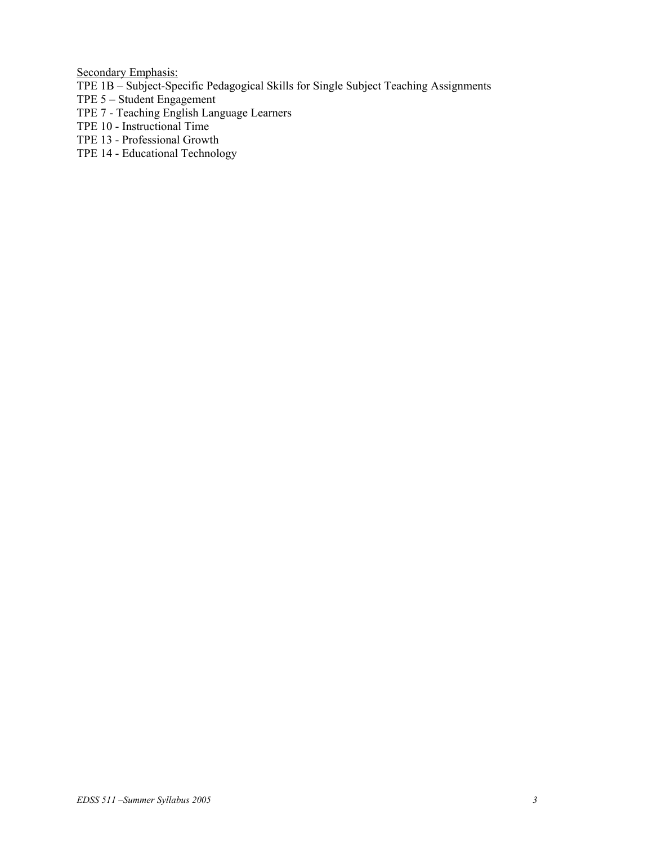Secondary Emphasis:

- TPE 1B Subject-Specific Pedagogical Skills for Single Subject Teaching Assignments
- TPE 5 Student Engagement
- TPE 7 Teaching English Language Learners
- TPE 10 Instructional Time
- TPE 13 Professional Growth
- TPE 14 Educational Technology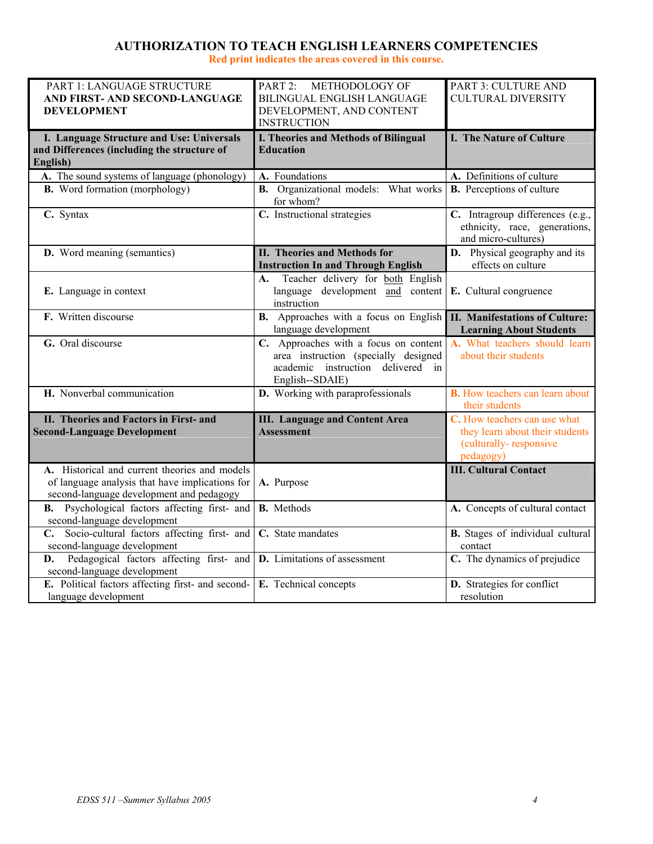# **AUTHORIZATION TO TEACH ENGLISH LEARNERS COMPETENCIES**

**Red print indicates the areas covered in this course.** 

| PART 1: LANGUAGE STRUCTURE                                                                       | PART 2: METHODOLOGY OF                                   | PART 3: CULTURE AND                                      |
|--------------------------------------------------------------------------------------------------|----------------------------------------------------------|----------------------------------------------------------|
| AND FIRST- AND SECOND-LANGUAGE                                                                   | BILINGUAL ENGLISH LANGUAGE                               | <b>CULTURAL DIVERSITY</b>                                |
| <b>DEVELOPMENT</b>                                                                               | DEVELOPMENT, AND CONTENT<br><b>INSTRUCTION</b>           |                                                          |
|                                                                                                  |                                                          | I. The Nature of Culture                                 |
| I. Language Structure and Use: Universals<br>and Differences (including the structure of         | I. Theories and Methods of Bilingual<br><b>Education</b> |                                                          |
| English)                                                                                         |                                                          |                                                          |
| A. The sound systems of language (phonology)                                                     | A. Foundations                                           | A. Definitions of culture                                |
| <b>B.</b> Word formation (morphology)                                                            | <b>B.</b> Organizational models: What works              | <b>B.</b> Perceptions of culture                         |
|                                                                                                  | for whom?                                                |                                                          |
| C. Syntax                                                                                        | C. Instructional strategies                              | C. Intragroup differences (e.g.,                         |
|                                                                                                  |                                                          | ethnicity, race, generations,                            |
|                                                                                                  |                                                          | and micro-cultures)                                      |
| <b>D.</b> Word meaning (semantics)                                                               | II. Theories and Methods for                             | <b>D.</b> Physical geography and its                     |
|                                                                                                  | <b>Instruction In and Through English</b>                | effects on culture                                       |
|                                                                                                  | Teacher delivery for both English<br>А.                  |                                                          |
| E. Language in context                                                                           | language development and content<br>instruction          | E. Cultural congruence                                   |
| F. Written discourse                                                                             | <b>B.</b> Approaches with a focus on English             | <b>II. Manifestations of Culture:</b>                    |
|                                                                                                  | language development                                     | <b>Learning About Students</b>                           |
| G. Oral discourse                                                                                | C. Approaches with a focus on content                    | A. What teachers should learn                            |
|                                                                                                  | area instruction (specially designed                     | about their students                                     |
|                                                                                                  | academic instruction delivered in                        |                                                          |
|                                                                                                  | English--SDAIE)                                          |                                                          |
| H. Nonverbal communication                                                                       | D. Working with paraprofessionals                        | <b>B.</b> How teachers can learn about<br>their students |
| II. Theories and Factors in First- and                                                           | <b>III.</b> Language and Content Area                    | C. How teachers can use what                             |
| <b>Second-Language Development</b>                                                               | <b>Assessment</b>                                        | they learn about their students                          |
|                                                                                                  |                                                          | (culturally-responsive                                   |
|                                                                                                  |                                                          | pedagogy)                                                |
| A. Historical and current theories and models<br>of language analysis that have implications for | A. Purpose                                               | <b>III. Cultural Contact</b>                             |
| second-language development and pedagogy                                                         |                                                          |                                                          |
| Psychological factors affecting first- and<br>В.                                                 | <b>B.</b> Methods                                        | A. Concepts of cultural contact                          |
| second-language development                                                                      |                                                          |                                                          |
| C. Socio-cultural factors affecting first- and                                                   | C. State mandates                                        | B. Stages of individual cultural                         |
| second-language development                                                                      |                                                          | contact                                                  |
| Pedagogical factors affecting first- and <b>D</b> . Limitations of assessment<br>D.              |                                                          | C. The dynamics of prejudice                             |
| second-language development                                                                      |                                                          |                                                          |
| E. Political factors affecting first- and second-<br>language development                        | E. Technical concepts                                    | D. Strategies for conflict                               |
|                                                                                                  |                                                          | resolution                                               |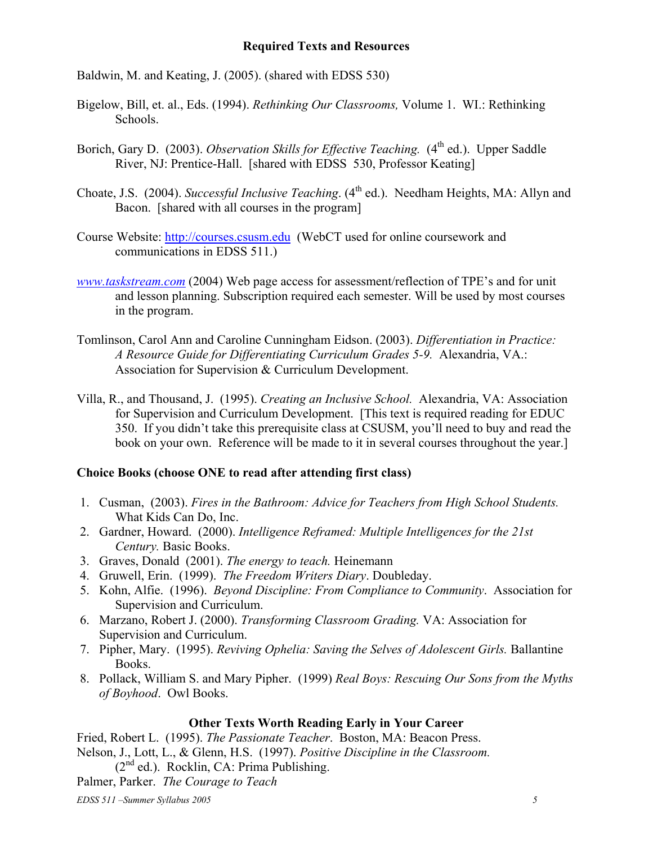## **Required Texts and Resources**

Baldwin, M. and Keating, J. (2005). (shared with EDSS 530)

- Bigelow, Bill, et. al., Eds. (1994). *Rethinking Our Classrooms,* Volume 1. WI.: Rethinking Schools.
- Borich, Gary D. (2003). *Observation Skills for Effective Teaching.* (4<sup>th</sup> ed.). Upper Saddle River, NJ: Prentice-Hall. [shared with EDSS 530, Professor Keating]
- Choate, J.S. (2004). *Successful Inclusive Teaching*. (4<sup>th</sup> ed.). Needham Heights, MA: Allyn and Bacon. [shared with all courses in the program]
- Course Website: http://courses.csusm.edu (WebCT used for online coursework and communications in EDSS 511.)
- *www.taskstream.com* (2004) Web page access for assessment/reflection of TPE's and for unit and lesson planning. Subscription required each semester. Will be used by most courses in the program.
- Tomlinson, Carol Ann and Caroline Cunningham Eidson. (2003). *Differentiation in Practice: A Resource Guide for Differentiating Curriculum Grades 5-9.* Alexandria, VA.: Association for Supervision & Curriculum Development.
- Villa, R., and Thousand, J. (1995). *Creating an Inclusive School.* Alexandria, VA: Association for Supervision and Curriculum Development. [This text is required reading for EDUC 350. If you didn't take this prerequisite class at CSUSM, you'll need to buy and read the book on your own. Reference will be made to it in several courses throughout the year.]

# **Choice Books (choose ONE to read after attending first class)**

- 1. Cusman, (2003). *Fires in the Bathroom: Advice for Teachers from High School Students.* What Kids Can Do, Inc.
- 2. Gardner, Howard. (2000). *Intelligence Reframed: Multiple Intelligences for the 21st Century.* Basic Books.
- 3. Graves, Donald (2001). *The energy to teach.* Heinemann
- 4. Gruwell, Erin. (1999). *The Freedom Writers Diary*. Doubleday.
- 5. Kohn, Alfie. (1996). *Beyond Discipline: From Compliance to Community*. Association for Supervision and Curriculum.
- 6. Marzano, Robert J. (2000). *Transforming Classroom Grading.* VA: Association for Supervision and Curriculum.
- 7. Pipher, Mary. (1995). *Reviving Ophelia: Saving the Selves of Adolescent Girls.* Ballantine Books.
- 8. Pollack, William S. and Mary Pipher. (1999) *Real Boys: Rescuing Our Sons from the Myths of Boyhood*. Owl Books.

## **Other Texts Worth Reading Early in Your Career**

Fried, Robert L. (1995). *The Passionate Teacher*. Boston, MA: Beacon Press. Nelson, J., Lott, L., & Glenn, H.S. (1997). *Positive Discipline in the Classroom.*  $(2<sup>nd</sup>$  ed.). Rocklin, CA: Prima Publishing.

- 
- Palmer, Parker. *The Courage to Teach*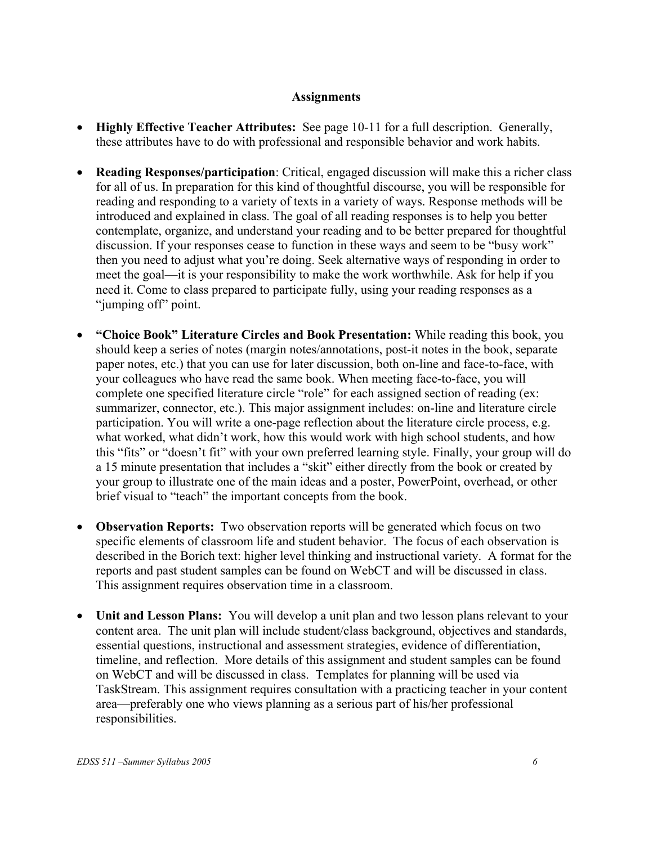# **Assignments**

- **Highly Effective Teacher Attributes:** See page 10-11 for a full description. Generally, these attributes have to do with professional and responsible behavior and work habits.
- **Reading Responses/participation**: Critical, engaged discussion will make this a richer class for all of us. In preparation for this kind of thoughtful discourse, you will be responsible for reading and responding to a variety of texts in a variety of ways. Response methods will be introduced and explained in class. The goal of all reading responses is to help you better contemplate, organize, and understand your reading and to be better prepared for thoughtful discussion. If your responses cease to function in these ways and seem to be "busy work" then you need to adjust what you're doing. Seek alternative ways of responding in order to meet the goal—it is your responsibility to make the work worthwhile. Ask for help if you need it. Come to class prepared to participate fully, using your reading responses as a "jumping off" point.
- **"Choice Book" Literature Circles and Book Presentation:** While reading this book, you should keep a series of notes (margin notes/annotations, post-it notes in the book, separate paper notes, etc.) that you can use for later discussion, both on-line and face-to-face, with your colleagues who have read the same book. When meeting face-to-face, you will complete one specified literature circle "role" for each assigned section of reading (ex: summarizer, connector, etc.). This major assignment includes: on-line and literature circle participation. You will write a one-page reflection about the literature circle process, e.g. what worked, what didn't work, how this would work with high school students, and how this "fits" or "doesn't fit" with your own preferred learning style. Finally, your group will do a 15 minute presentation that includes a "skit" either directly from the book or created by your group to illustrate one of the main ideas and a poster, PowerPoint, overhead, or other brief visual to "teach" the important concepts from the book.
- **Observation Reports:** Two observation reports will be generated which focus on two specific elements of classroom life and student behavior. The focus of each observation is described in the Borich text: higher level thinking and instructional variety. A format for the reports and past student samples can be found on WebCT and will be discussed in class. This assignment requires observation time in a classroom.
- **Unit and Lesson Plans:** You will develop a unit plan and two lesson plans relevant to your content area. The unit plan will include student/class background, objectives and standards, essential questions, instructional and assessment strategies, evidence of differentiation, timeline, and reflection. More details of this assignment and student samples can be found on WebCT and will be discussed in class. Templates for planning will be used via TaskStream. This assignment requires consultation with a practicing teacher in your content area—preferably one who views planning as a serious part of his/her professional responsibilities.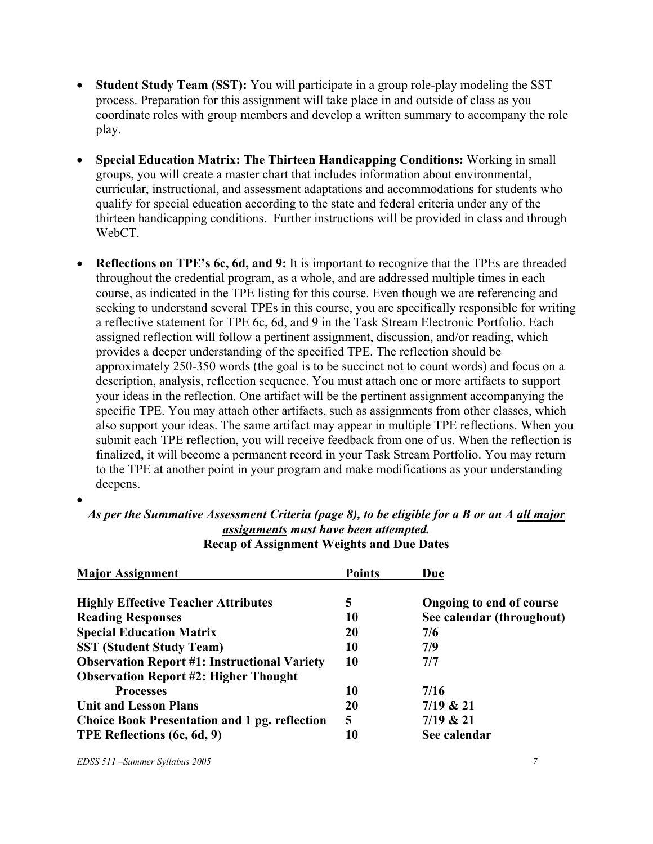- **Student Study Team (SST):** You will participate in a group role-play modeling the SST process. Preparation for this assignment will take place in and outside of class as you coordinate roles with group members and develop a written summary to accompany the role play.
- **Special Education Matrix: The Thirteen Handicapping Conditions:** Working in small groups, you will create a master chart that includes information about environmental, curricular, instructional, and assessment adaptations and accommodations for students who qualify for special education according to the state and federal criteria under any of the thirteen handicapping conditions. Further instructions will be provided in class and through WebCT.
- **Reflections on TPE's 6c, 6d, and 9:** It is important to recognize that the TPEs are threaded throughout the credential program, as a whole, and are addressed multiple times in each course, as indicated in the TPE listing for this course. Even though we are referencing and seeking to understand several TPEs in this course, you are specifically responsible for writing a reflective statement for TPE 6c, 6d, and 9 in the Task Stream Electronic Portfolio. Each assigned reflection will follow a pertinent assignment, discussion, and/or reading, which provides a deeper understanding of the specified TPE. The reflection should be approximately 250-350 words (the goal is to be succinct not to count words) and focus on a description, analysis, reflection sequence. You must attach one or more artifacts to support your ideas in the reflection. One artifact will be the pertinent assignment accompanying the specific TPE. You may attach other artifacts, such as assignments from other classes, which also support your ideas. The same artifact may appear in multiple TPE reflections. When you submit each TPE reflection, you will receive feedback from one of us. When the reflection is finalized, it will become a permanent record in your Task Stream Portfolio. You may return to the TPE at another point in your program and make modifications as your understanding deepens.

| <b>Major Assignment</b>                              | <b>Points</b> | Due                       |
|------------------------------------------------------|---------------|---------------------------|
| <b>Highly Effective Teacher Attributes</b>           | 5             | Ongoing to end of course  |
| <b>Reading Responses</b>                             | 10            | See calendar (throughout) |
| <b>Special Education Matrix</b>                      | 20            | 7/6                       |
| <b>SST (Student Study Team)</b>                      | 10            | 7/9                       |
| <b>Observation Report #1: Instructional Variety</b>  | 10            | 7/7                       |
| <b>Observation Report #2: Higher Thought</b>         |               |                           |
| <b>Processes</b>                                     | 10            | 7/16                      |
| <b>Unit and Lesson Plans</b>                         | 20            | 7/19 & 21                 |
| <b>Choice Book Presentation and 1 pg. reflection</b> | 5             | 7/19 & 21                 |
| TPE Reflections (6c, 6d, 9)                          | 10            | See calendar              |

*As per the Summative Assessment Criteria (page 8), to be eligible for a B or an A all major assignments must have been attempted.*  **Recap of Assignment Weights and Due Dates** 

•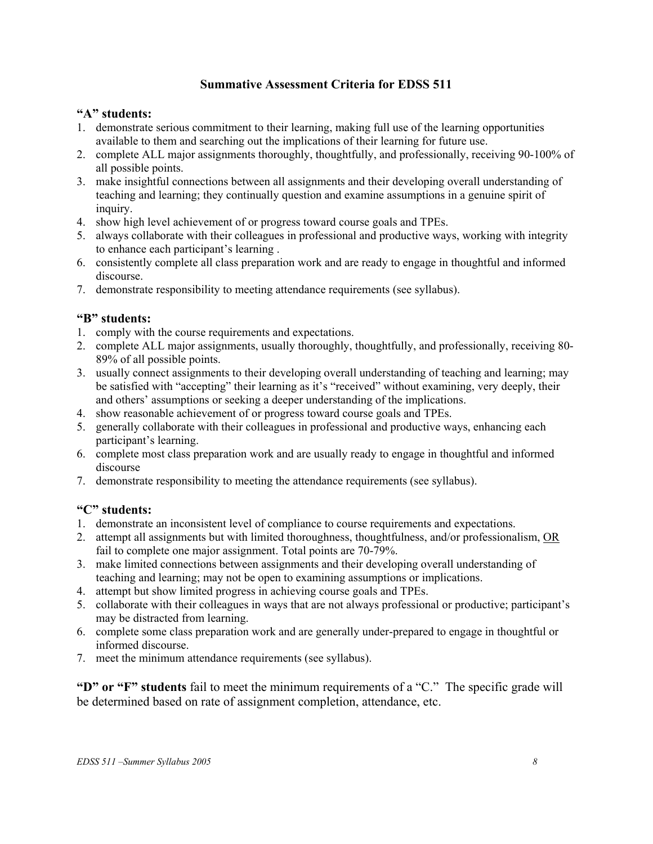# **Summative Assessment Criteria for EDSS 511**

## **"A" students:**

- 1. demonstrate serious commitment to their learning, making full use of the learning opportunities available to them and searching out the implications of their learning for future use.
- 2. complete ALL major assignments thoroughly, thoughtfully, and professionally, receiving 90-100% of all possible points.
- 3. make insightful connections between all assignments and their developing overall understanding of teaching and learning; they continually question and examine assumptions in a genuine spirit of inquiry.
- 4. show high level achievement of or progress toward course goals and TPEs.
- 5. always collaborate with their colleagues in professional and productive ways, working with integrity to enhance each participant's learning .
- 6. consistently complete all class preparation work and are ready to engage in thoughtful and informed discourse.
- 7. demonstrate responsibility to meeting attendance requirements (see syllabus).

### **"B" students:**

- 1. comply with the course requirements and expectations.
- 2. complete ALL major assignments, usually thoroughly, thoughtfully, and professionally, receiving 80- 89% of all possible points.
- 3. usually connect assignments to their developing overall understanding of teaching and learning; may be satisfied with "accepting" their learning as it's "received" without examining, very deeply, their and others' assumptions or seeking a deeper understanding of the implications.
- 4. show reasonable achievement of or progress toward course goals and TPEs.
- 5. generally collaborate with their colleagues in professional and productive ways, enhancing each participant's learning.
- 6. complete most class preparation work and are usually ready to engage in thoughtful and informed discourse
- 7. demonstrate responsibility to meeting the attendance requirements (see syllabus).

## **"C" students:**

- 1. demonstrate an inconsistent level of compliance to course requirements and expectations.
- 2. attempt all assignments but with limited thoroughness, thoughtfulness, and/or professionalism, OR fail to complete one major assignment. Total points are 70-79%.
- 3. make limited connections between assignments and their developing overall understanding of teaching and learning; may not be open to examining assumptions or implications.
- 4. attempt but show limited progress in achieving course goals and TPEs.
- 5. collaborate with their colleagues in ways that are not always professional or productive; participant's may be distracted from learning.
- 6. complete some class preparation work and are generally under-prepared to engage in thoughtful or informed discourse.
- 7. meet the minimum attendance requirements (see syllabus).

**"D" or "F" students** fail to meet the minimum requirements of a "C." The specific grade will be determined based on rate of assignment completion, attendance, etc.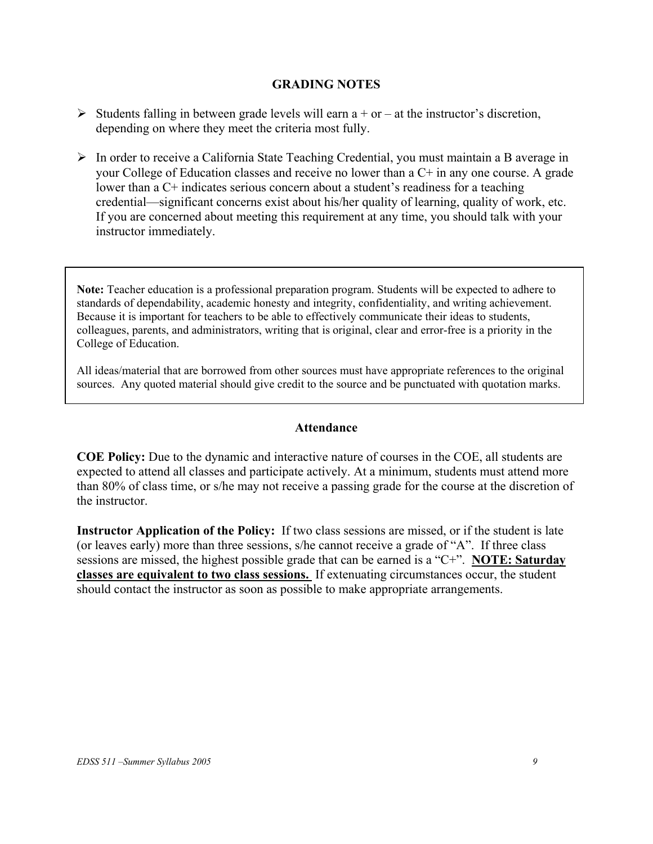## **GRADING NOTES**

- $\triangleright$  Students falling in between grade levels will earn a + or at the instructor's discretion, depending on where they meet the criteria most fully.
- $\triangleright$  In order to receive a California State Teaching Credential, you must maintain a B average in your College of Education classes and receive no lower than a C+ in any one course. A grade lower than a C+ indicates serious concern about a student's readiness for a teaching credential—significant concerns exist about his/her quality of learning, quality of work, etc. If you are concerned about meeting this requirement at any time, you should talk with your instructor immediately.

**Note:** Teacher education is a professional preparation program. Students will be expected to adhere to standards of dependability, academic honesty and integrity, confidentiality, and writing achievement. Because it is important for teachers to be able to effectively communicate their ideas to students, colleagues, parents, and administrators, writing that is original, clear and error-free is a priority in the College of Education.

All ideas/material that are borrowed from other sources must have appropriate references to the original sources. Any quoted material should give credit to the source and be punctuated with quotation marks.

## **Attendance**

**COE Policy:** Due to the dynamic and interactive nature of courses in the COE, all students are expected to attend all classes and participate actively. At a minimum, students must attend more than 80% of class time, or s/he may not receive a passing grade for the course at the discretion of the instructor.

**Instructor Application of the Policy:** If two class sessions are missed, or if the student is late (or leaves early) more than three sessions, s/he cannot receive a grade of "A". If three class sessions are missed, the highest possible grade that can be earned is a "C+". **NOTE: Saturday classes are equivalent to two class sessions.** If extenuating circumstances occur, the student should contact the instructor as soon as possible to make appropriate arrangements.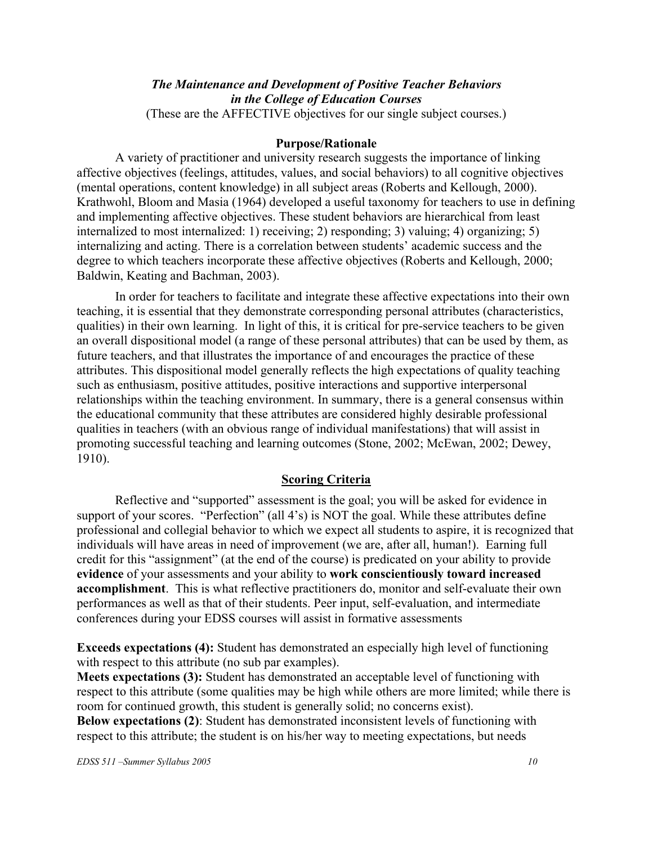### *The Maintenance and Development of Positive Teacher Behaviors in the College of Education Courses*  (These are the AFFECTIVE objectives for our single subject courses.)

#### **Purpose/Rationale**

A variety of practitioner and university research suggests the importance of linking affective objectives (feelings, attitudes, values, and social behaviors) to all cognitive objectives (mental operations, content knowledge) in all subject areas (Roberts and Kellough, 2000). Krathwohl, Bloom and Masia (1964) developed a useful taxonomy for teachers to use in defining and implementing affective objectives. These student behaviors are hierarchical from least internalized to most internalized: 1) receiving; 2) responding; 3) valuing; 4) organizing; 5) internalizing and acting. There is a correlation between students' academic success and the degree to which teachers incorporate these affective objectives (Roberts and Kellough, 2000; Baldwin, Keating and Bachman, 2003).

In order for teachers to facilitate and integrate these affective expectations into their own teaching, it is essential that they demonstrate corresponding personal attributes (characteristics, qualities) in their own learning. In light of this, it is critical for pre-service teachers to be given an overall dispositional model (a range of these personal attributes) that can be used by them, as future teachers, and that illustrates the importance of and encourages the practice of these attributes. This dispositional model generally reflects the high expectations of quality teaching such as enthusiasm, positive attitudes, positive interactions and supportive interpersonal relationships within the teaching environment. In summary, there is a general consensus within the educational community that these attributes are considered highly desirable professional qualities in teachers (with an obvious range of individual manifestations) that will assist in promoting successful teaching and learning outcomes (Stone, 2002; McEwan, 2002; Dewey, 1910).

## **Scoring Criteria**

Reflective and "supported" assessment is the goal; you will be asked for evidence in support of your scores. "Perfection" (all 4's) is NOT the goal. While these attributes define professional and collegial behavior to which we expect all students to aspire, it is recognized that individuals will have areas in need of improvement (we are, after all, human!). Earning full credit for this "assignment" (at the end of the course) is predicated on your ability to provide **evidence** of your assessments and your ability to **work conscientiously toward increased accomplishment**. This is what reflective practitioners do, monitor and self-evaluate their own performances as well as that of their students. Peer input, self-evaluation, and intermediate conferences during your EDSS courses will assist in formative assessments

**Exceeds expectations (4):** Student has demonstrated an especially high level of functioning with respect to this attribute (no sub par examples).

**Meets expectations (3):** Student has demonstrated an acceptable level of functioning with respect to this attribute (some qualities may be high while others are more limited; while there is room for continued growth, this student is generally solid; no concerns exist). **Below expectations (2)**: Student has demonstrated inconsistent levels of functioning with respect to this attribute; the student is on his/her way to meeting expectations, but needs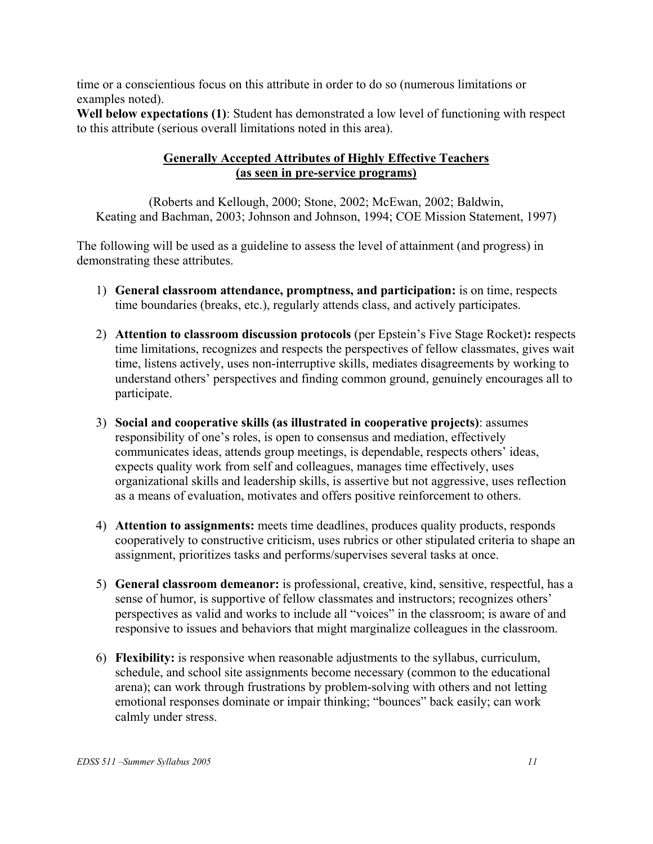time or a conscientious focus on this attribute in order to do so (numerous limitations or examples noted).

**Well below expectations (1)**: Student has demonstrated a low level of functioning with respect to this attribute (serious overall limitations noted in this area).

# **Generally Accepted Attributes of Highly Effective Teachers (as seen in pre-service programs)**

(Roberts and Kellough, 2000; Stone, 2002; McEwan, 2002; Baldwin, Keating and Bachman, 2003; Johnson and Johnson, 1994; COE Mission Statement, 1997)

The following will be used as a guideline to assess the level of attainment (and progress) in demonstrating these attributes.

- 1) **General classroom attendance, promptness, and participation:** is on time, respects time boundaries (breaks, etc.), regularly attends class, and actively participates.
- 2) **Attention to classroom discussion protocols** (per Epstein's Five Stage Rocket)**:** respects time limitations, recognizes and respects the perspectives of fellow classmates, gives wait time, listens actively, uses non-interruptive skills, mediates disagreements by working to understand others' perspectives and finding common ground, genuinely encourages all to participate.
- 3) **Social and cooperative skills (as illustrated in cooperative projects)**: assumes responsibility of one's roles, is open to consensus and mediation, effectively communicates ideas, attends group meetings, is dependable, respects others' ideas, expects quality work from self and colleagues, manages time effectively, uses organizational skills and leadership skills, is assertive but not aggressive, uses reflection as a means of evaluation, motivates and offers positive reinforcement to others.
- 4) **Attention to assignments:** meets time deadlines, produces quality products, responds cooperatively to constructive criticism, uses rubrics or other stipulated criteria to shape an assignment, prioritizes tasks and performs/supervises several tasks at once.
- 5) **General classroom demeanor:** is professional, creative, kind, sensitive, respectful, has a sense of humor, is supportive of fellow classmates and instructors; recognizes others' perspectives as valid and works to include all "voices" in the classroom; is aware of and responsive to issues and behaviors that might marginalize colleagues in the classroom.
- 6) **Flexibility:** is responsive when reasonable adjustments to the syllabus, curriculum, schedule, and school site assignments become necessary (common to the educational arena); can work through frustrations by problem-solving with others and not letting emotional responses dominate or impair thinking; "bounces" back easily; can work calmly under stress.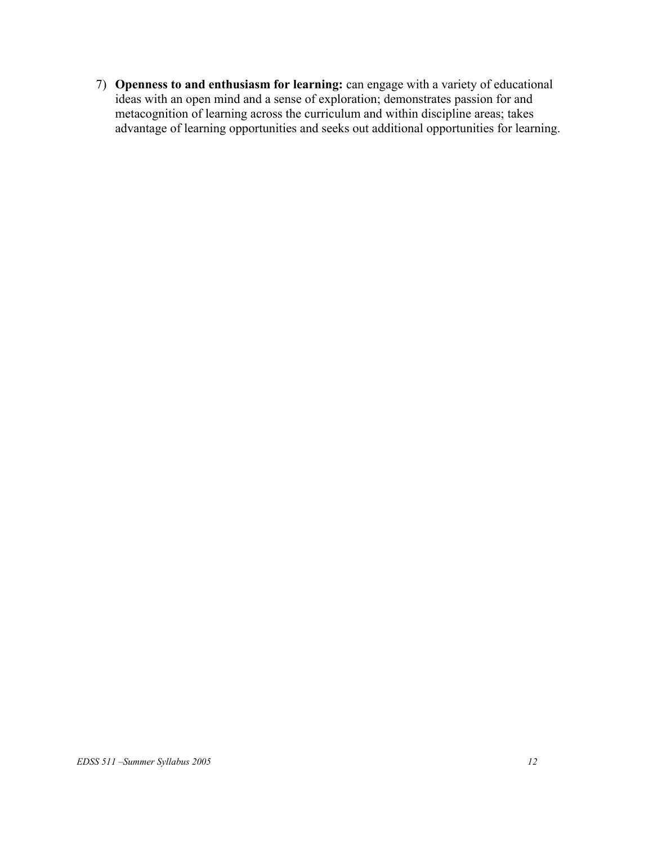7) **Openness to and enthusiasm for learning:** can engage with a variety of educational ideas with an open mind and a sense of exploration; demonstrates passion for and metacognition of learning across the curriculum and within discipline areas; takes advantage of learning opportunities and seeks out additional opportunities for learning.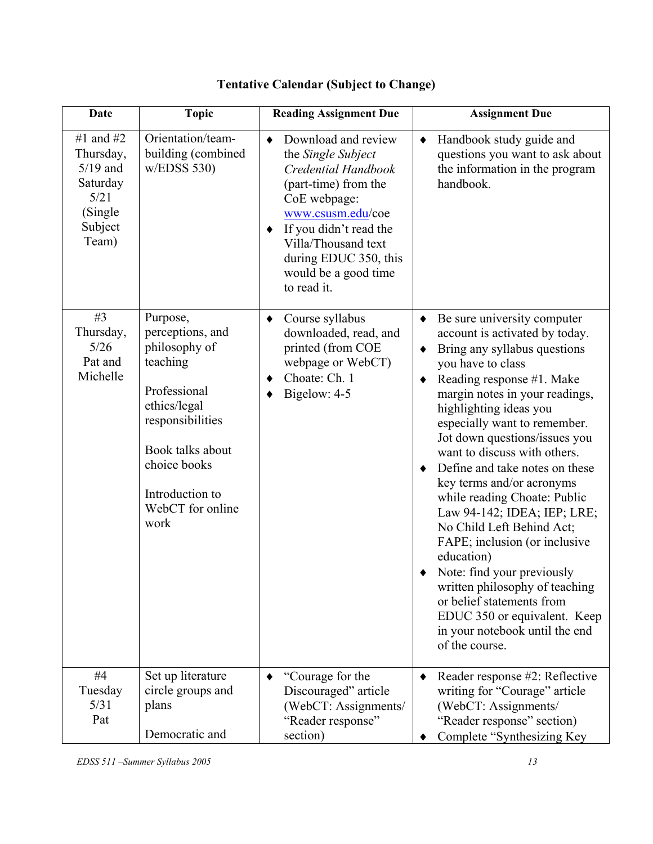| <b>Date</b>                                                                              | <b>Topic</b>                                                                                                                                                                                     | <b>Reading Assignment Due</b>                                                                                                                                                                                                                                    | <b>Assignment Due</b>                                                                                                                                                                                                                                                                                                                                                                                                                                                                                                                                                                                                                                                                                                           |
|------------------------------------------------------------------------------------------|--------------------------------------------------------------------------------------------------------------------------------------------------------------------------------------------------|------------------------------------------------------------------------------------------------------------------------------------------------------------------------------------------------------------------------------------------------------------------|---------------------------------------------------------------------------------------------------------------------------------------------------------------------------------------------------------------------------------------------------------------------------------------------------------------------------------------------------------------------------------------------------------------------------------------------------------------------------------------------------------------------------------------------------------------------------------------------------------------------------------------------------------------------------------------------------------------------------------|
| #1 and #2<br>Thursday,<br>$5/19$ and<br>Saturday<br>5/21<br>(Single)<br>Subject<br>Team) | Orientation/team-<br>building (combined<br>w/EDSS 530                                                                                                                                            | Download and review<br>$\bullet$<br>the Single Subject<br>Credential Handbook<br>(part-time) from the<br>CoE webpage:<br>www.csusm.edu/coe<br>If you didn't read the<br>٠<br>Villa/Thousand text<br>during EDUC 350, this<br>would be a good time<br>to read it. | Handbook study guide and<br>$\blacklozenge$<br>questions you want to ask about<br>the information in the program<br>handbook.                                                                                                                                                                                                                                                                                                                                                                                                                                                                                                                                                                                                   |
| #3<br>Thursday,<br>5/26<br>Pat and<br>Michelle                                           | Purpose,<br>perceptions, and<br>philosophy of<br>teaching<br>Professional<br>ethics/legal<br>responsibilities<br>Book talks about<br>choice books<br>Introduction to<br>WebCT for online<br>work | Course syllabus<br>$\blacklozenge$<br>downloaded, read, and<br>printed (from COE<br>webpage or WebCT)<br>Choate: Ch. 1<br>٠<br>Bigelow: 4-5<br>٠                                                                                                                 | Be sure university computer<br>$\blacklozenge$<br>account is activated by today.<br>Bring any syllabus questions<br>٠<br>you have to class<br>Reading response #1. Make<br>margin notes in your readings,<br>highlighting ideas you<br>especially want to remember.<br>Jot down questions/issues you<br>want to discuss with others.<br>Define and take notes on these<br>key terms and/or acronyms<br>while reading Choate: Public<br>Law 94-142; IDEA; IEP; LRE;<br>No Child Left Behind Act;<br>FAPE; inclusion (or inclusive<br>education)<br>Note: find your previously<br>written philosophy of teaching<br>or belief statements from<br>EDUC 350 or equivalent. Keep<br>in your notebook until the end<br>of the course. |
| #4<br>Tuesday<br>5/31<br>Pat                                                             | Set up literature<br>circle groups and<br>plans<br>Democratic and                                                                                                                                | "Courage for the<br>$\blacklozenge$<br>Discouraged" article<br>(WebCT: Assignments/<br>"Reader response"<br>section)                                                                                                                                             | Reader response #2: Reflective<br>writing for "Courage" article<br>(WebCT: Assignments/<br>"Reader response" section)<br>Complete "Synthesizing Key                                                                                                                                                                                                                                                                                                                                                                                                                                                                                                                                                                             |

# **Tentative Calendar (Subject to Change)**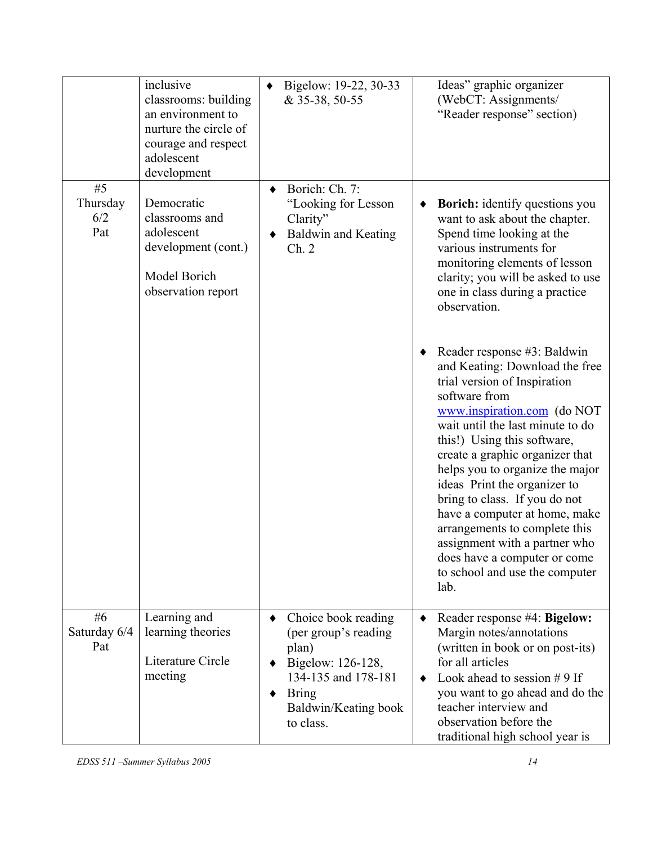|                              | inclusive<br>classrooms: building<br>an environment to<br>nurture the circle of<br>courage and respect<br>adolescent<br>development | ٠ | Bigelow: 19-22, 30-33<br>& 35-38, 50-55                                                                                                               |   | Ideas" graphic organizer<br>(WebCT: Assignments/<br>"Reader response" section)                                                                                                                                                                                                                                                                                                                                                                                                                                                                                                                                                                                                                                                                                                                  |
|------------------------------|-------------------------------------------------------------------------------------------------------------------------------------|---|-------------------------------------------------------------------------------------------------------------------------------------------------------|---|-------------------------------------------------------------------------------------------------------------------------------------------------------------------------------------------------------------------------------------------------------------------------------------------------------------------------------------------------------------------------------------------------------------------------------------------------------------------------------------------------------------------------------------------------------------------------------------------------------------------------------------------------------------------------------------------------------------------------------------------------------------------------------------------------|
| #5<br>Thursday<br>6/2<br>Pat | Democratic<br>classrooms and<br>adolescent<br>development (cont.)<br>Model Borich<br>observation report                             |   | Borich: Ch. 7:<br>"Looking for Lesson<br>Clarity"<br>Baldwin and Keating<br>Ch. 2                                                                     |   | <b>Borich:</b> identify questions you<br>want to ask about the chapter.<br>Spend time looking at the<br>various instruments for<br>monitoring elements of lesson<br>clarity; you will be asked to use<br>one in class during a practice<br>observation.<br>Reader response #3: Baldwin<br>and Keating: Download the free<br>trial version of Inspiration<br>software from<br>www.inspiration.com (do NOT<br>wait until the last minute to do<br>this!) Using this software,<br>create a graphic organizer that<br>helps you to organize the major<br>ideas Print the organizer to<br>bring to class. If you do not<br>have a computer at home, make<br>arrangements to complete this<br>assignment with a partner who<br>does have a computer or come<br>to school and use the computer<br>lab. |
| #6<br>Saturday 6/4<br>Pat    | Learning and<br>learning theories<br>Literature Circle<br>meeting                                                                   | ٠ | Choice book reading<br>(per group's reading<br>plan)<br>Bigelow: 126-128,<br>134-135 and 178-181<br><b>Bring</b><br>Baldwin/Keating book<br>to class. | ٠ | Reader response #4: Bigelow:<br>Margin notes/annotations<br>(written in book or on post-its)<br>for all articles<br>Look ahead to session $# 9$ If<br>you want to go ahead and do the<br>teacher interview and<br>observation before the<br>traditional high school year is                                                                                                                                                                                                                                                                                                                                                                                                                                                                                                                     |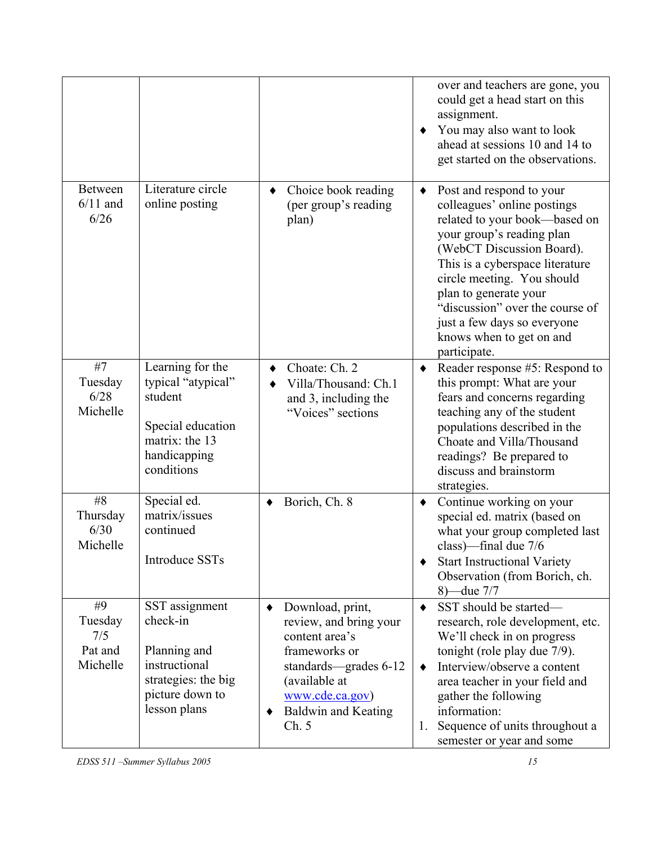|                                             |                                                                                                                        |                                                                                                                                                                                                     | over and teachers are gone, you<br>could get a head start on this<br>assignment.<br>You may also want to look<br>ahead at sessions 10 and 14 to<br>get started on the observations.                                                                                                                                                                             |
|---------------------------------------------|------------------------------------------------------------------------------------------------------------------------|-----------------------------------------------------------------------------------------------------------------------------------------------------------------------------------------------------|-----------------------------------------------------------------------------------------------------------------------------------------------------------------------------------------------------------------------------------------------------------------------------------------------------------------------------------------------------------------|
| <b>Between</b><br>$6/11$ and<br>6/26        | Literature circle<br>online posting                                                                                    | Choice book reading<br>(per group's reading<br>plan)                                                                                                                                                | Post and respond to your<br>٠<br>colleagues' online postings<br>related to your book-based on<br>your group's reading plan<br>(WebCT Discussion Board).<br>This is a cyberspace literature<br>circle meeting. You should<br>plan to generate your<br>"discussion" over the course of<br>just a few days so everyone<br>knows when to get on and<br>participate. |
| #7<br>Tuesday<br>6/28<br>Michelle           | Learning for the<br>typical "atypical"<br>student<br>Special education<br>matrix: the 13<br>handicapping<br>conditions | Choate: Ch. 2<br>Villa/Thousand: Ch.1<br>and 3, including the<br>"Voices" sections                                                                                                                  | Reader response #5: Respond to<br>$\blacklozenge$<br>this prompt: What are your<br>fears and concerns regarding<br>teaching any of the student<br>populations described in the<br>Choate and Villa/Thousand<br>readings? Be prepared to<br>discuss and brainstorm<br>strategies.                                                                                |
| #8<br>Thursday<br>6/30<br>Michelle          | Special ed.<br>matrix/issues<br>continued<br><b>Introduce SSTs</b>                                                     | Borich, Ch. 8<br>٠                                                                                                                                                                                  | Continue working on your<br>$\blacklozenge$<br>special ed. matrix (based on<br>what your group completed last<br>class)-final due 7/6<br><b>Start Instructional Variety</b><br>Observation (from Borich, ch.<br>8) — due 7/7                                                                                                                                    |
| #9<br>Tuesday<br>7/5<br>Pat and<br>Michelle | SST assignment<br>check-in<br>Planning and<br>instructional<br>strategies: the big<br>picture down to<br>lesson plans  | Download, print,<br>$\bullet$<br>review, and bring your<br>content area's<br>frameworks or<br>standards—grades 6-12<br>(available at<br>www.cde.ca.gov)<br><b>Baldwin and Keating</b><br>٠<br>Ch. 5 | SST should be started-<br>٠<br>research, role development, etc.<br>We'll check in on progress<br>tonight (role play due 7/9).<br>Interview/observe a content<br>٠<br>area teacher in your field and<br>gather the following<br>information:<br>Sequence of units throughout a<br>1.<br>semester or year and some                                                |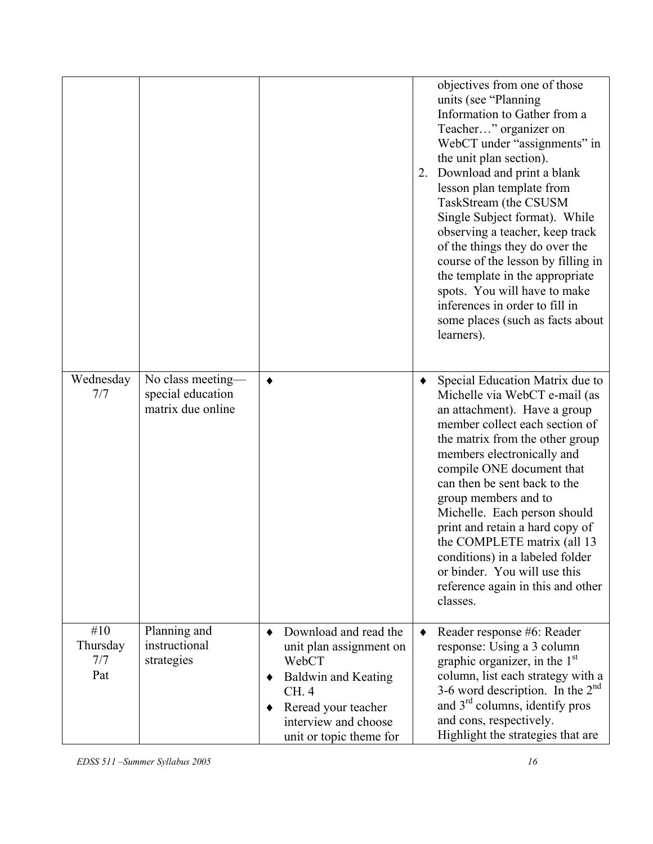|                               |                                                             |                                                                                                                                                                                           | 2. | objectives from one of those<br>units (see "Planning<br>Information to Gather from a<br>Teacher" organizer on<br>WebCT under "assignments" in<br>the unit plan section).<br>Download and print a blank<br>lesson plan template from<br>TaskStream (the CSUSM<br>Single Subject format). While<br>observing a teacher, keep track<br>of the things they do over the<br>course of the lesson by filling in<br>the template in the appropriate<br>spots. You will have to make<br>inferences in order to fill in<br>some places (such as facts about<br>learners). |
|-------------------------------|-------------------------------------------------------------|-------------------------------------------------------------------------------------------------------------------------------------------------------------------------------------------|----|-----------------------------------------------------------------------------------------------------------------------------------------------------------------------------------------------------------------------------------------------------------------------------------------------------------------------------------------------------------------------------------------------------------------------------------------------------------------------------------------------------------------------------------------------------------------|
| Wednesday<br>7/7              | No class meeting-<br>special education<br>matrix due online | ٠                                                                                                                                                                                         | ٠  | Special Education Matrix due to<br>Michelle via WebCT e-mail (as<br>an attachment). Have a group<br>member collect each section of<br>the matrix from the other group<br>members electronically and<br>compile ONE document that<br>can then be sent back to the<br>group members and to<br>Michelle. Each person should<br>print and retain a hard copy of<br>the COMPLETE matrix (all 13<br>conditions) in a labeled folder<br>or binder. You will use this<br>reference again in this and other<br>classes.                                                  |
| #10<br>Thursday<br>7/7<br>Pat | Planning and<br>instructional<br>strategies                 | Download and read the<br>٠<br>unit plan assignment on<br>WebCT<br><b>Baldwin and Keating</b><br>٠<br>CH. 4<br>Reread your teacher<br>٠<br>interview and choose<br>unit or topic theme for |    | Reader response #6: Reader<br>response: Using a 3 column<br>graphic organizer, in the $1st$<br>column, list each strategy with a<br>3-6 word description. In the $2nd$<br>and 3 <sup>rd</sup> columns, identify pros<br>and cons, respectively.<br>Highlight the strategies that are                                                                                                                                                                                                                                                                            |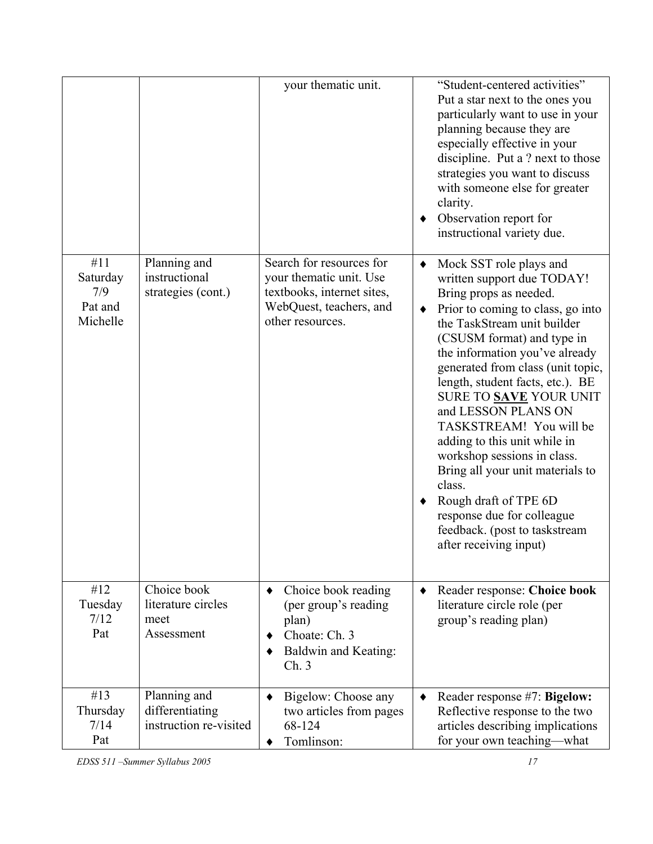|                                               |                                                           | your thematic unit.                                                                                                                 |   | "Student-centered activities"<br>Put a star next to the ones you<br>particularly want to use in your<br>planning because they are<br>especially effective in your<br>discipline. Put a ? next to those<br>strategies you want to discuss<br>with someone else for greater<br>clarity.<br>Observation report for<br>instructional variety due.                                                                                                                                                                                                                                                           |
|-----------------------------------------------|-----------------------------------------------------------|-------------------------------------------------------------------------------------------------------------------------------------|---|---------------------------------------------------------------------------------------------------------------------------------------------------------------------------------------------------------------------------------------------------------------------------------------------------------------------------------------------------------------------------------------------------------------------------------------------------------------------------------------------------------------------------------------------------------------------------------------------------------|
| #11<br>Saturday<br>7/9<br>Pat and<br>Michelle | Planning and<br>instructional<br>strategies (cont.)       | Search for resources for<br>your thematic unit. Use<br>textbooks, internet sites,<br>WebQuest, teachers, and<br>other resources.    | ٠ | Mock SST role plays and<br>written support due TODAY!<br>Bring props as needed.<br>Prior to coming to class, go into<br>the TaskStream unit builder<br>(CSUSM format) and type in<br>the information you've already<br>generated from class (unit topic,<br>length, student facts, etc.). BE<br>SURE TO SAVE YOUR UNIT<br>and LESSON PLANS ON<br>TASKSTREAM! You will be<br>adding to this unit while in<br>workshop sessions in class.<br>Bring all your unit materials to<br>class.<br>Rough draft of TPE 6D<br>response due for colleague<br>feedback. (post to taskstream<br>after receiving input) |
| #12<br>Tuesday<br>7/12<br>Pat                 | Choice book<br>literature circles<br>meet<br>Assessment   | Choice book reading<br>$\bullet$<br>(per group's reading<br>plan)<br>Choate: Ch. 3<br>٠<br><b>Baldwin and Keating:</b><br>٠<br>Ch.3 |   | Reader response: Choice book<br>literature circle role (per<br>group's reading plan)                                                                                                                                                                                                                                                                                                                                                                                                                                                                                                                    |
| #13<br>Thursday<br>7/14<br>Pat                | Planning and<br>differentiating<br>instruction re-visited | Bigelow: Choose any<br>$\bullet$<br>two articles from pages<br>68-124<br>Tomlinson:                                                 | ٠ | Reader response #7: Bigelow:<br>Reflective response to the two<br>articles describing implications<br>for your own teaching-what                                                                                                                                                                                                                                                                                                                                                                                                                                                                        |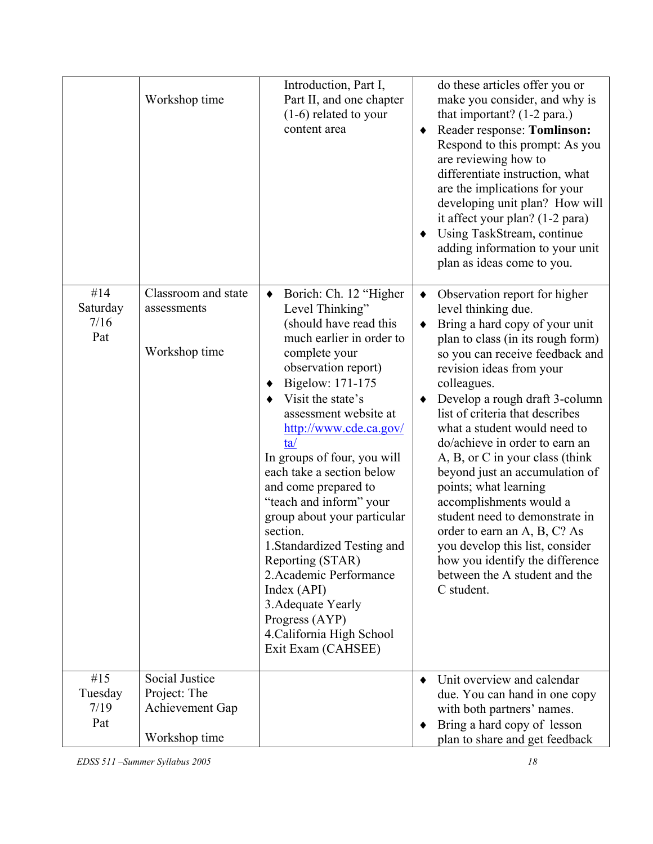|                                | Workshop time                                                      | Introduction, Part I,<br>Part II, and one chapter<br>$(1-6)$ related to your<br>content area                                                                                                                                                                                                                                                                                                                                                                                                                                                                                                                         | do these articles offer you or<br>make you consider, and why is<br>that important? $(1-2 \text{ para.})$<br>Reader response: Tomlinson:<br>Respond to this prompt: As you<br>are reviewing how to<br>differentiate instruction, what<br>are the implications for your<br>developing unit plan? How will<br>it affect your plan? (1-2 para)<br>Using TaskStream, continue<br>adding information to your unit<br>plan as ideas come to you.                                                                                                                                                                                                                                                |
|--------------------------------|--------------------------------------------------------------------|----------------------------------------------------------------------------------------------------------------------------------------------------------------------------------------------------------------------------------------------------------------------------------------------------------------------------------------------------------------------------------------------------------------------------------------------------------------------------------------------------------------------------------------------------------------------------------------------------------------------|------------------------------------------------------------------------------------------------------------------------------------------------------------------------------------------------------------------------------------------------------------------------------------------------------------------------------------------------------------------------------------------------------------------------------------------------------------------------------------------------------------------------------------------------------------------------------------------------------------------------------------------------------------------------------------------|
| #14<br>Saturday<br>7/16<br>Pat | Classroom and state<br>assessments<br>Workshop time                | Borich: Ch. 12 "Higher<br>$\blacklozenge$<br>Level Thinking"<br>(should have read this<br>much earlier in order to<br>complete your<br>observation report)<br>Bigelow: 171-175<br>٠<br>Visit the state's<br>assessment website at<br>http://www.cde.ca.gov/<br>ta/<br>In groups of four, you will<br>each take a section below<br>and come prepared to<br>"teach and inform" your<br>group about your particular<br>section.<br>1. Standardized Testing and<br>Reporting (STAR)<br>2. Academic Performance<br>Index (API)<br>3. Adequate Yearly<br>Progress (AYP)<br>4. California High School<br>Exit Exam (CAHSEE) | Observation report for higher<br>$\blacklozenge$<br>level thinking due.<br>Bring a hard copy of your unit<br>٠<br>plan to class (in its rough form)<br>so you can receive feedback and<br>revision ideas from your<br>colleagues.<br>Develop a rough draft 3-column<br>list of criteria that describes<br>what a student would need to<br>do/achieve in order to earn an<br>A, B, or C in your class (think<br>beyond just an accumulation of<br>points; what learning<br>accomplishments would a<br>student need to demonstrate in<br>order to earn an A, B, C? As<br>you develop this list, consider<br>how you identify the difference<br>between the A student and the<br>C student. |
| #15<br>Tuesday<br>7/19<br>Pat  | Social Justice<br>Project: The<br>Achievement Gap<br>Workshop time |                                                                                                                                                                                                                                                                                                                                                                                                                                                                                                                                                                                                                      | Unit overview and calendar<br>$\bullet$<br>due. You can hand in one copy<br>with both partners' names.<br>Bring a hard copy of lesson<br>plan to share and get feedback                                                                                                                                                                                                                                                                                                                                                                                                                                                                                                                  |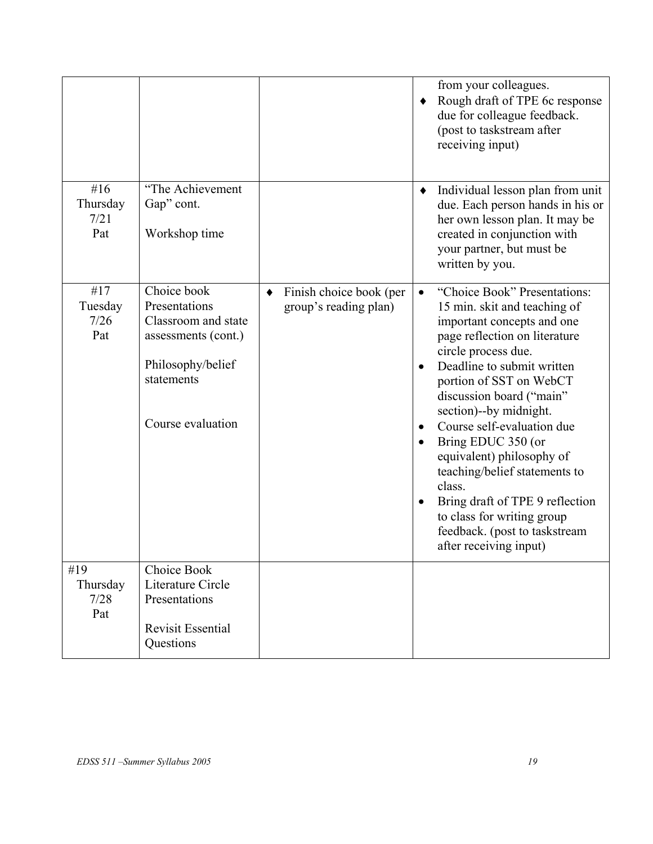|                                |                                                                                                                                    |                                                                     | from your colleagues.<br>Rough draft of TPE 6c response<br>٠<br>due for colleague feedback.<br>(post to taskstream after<br>receiving input)                                                                                                                                                                                                                                                                                                                                                                                                |
|--------------------------------|------------------------------------------------------------------------------------------------------------------------------------|---------------------------------------------------------------------|---------------------------------------------------------------------------------------------------------------------------------------------------------------------------------------------------------------------------------------------------------------------------------------------------------------------------------------------------------------------------------------------------------------------------------------------------------------------------------------------------------------------------------------------|
| #16<br>Thursday<br>7/21<br>Pat | "The Achievement<br>Gap" cont.<br>Workshop time                                                                                    |                                                                     | Individual lesson plan from unit<br>$\blacklozenge$<br>due. Each person hands in his or<br>her own lesson plan. It may be<br>created in conjunction with<br>your partner, but must be<br>written by you.                                                                                                                                                                                                                                                                                                                                    |
| #17<br>Tuesday<br>7/26<br>Pat  | Choice book<br>Presentations<br>Classroom and state<br>assessments (cont.)<br>Philosophy/belief<br>statements<br>Course evaluation | Finish choice book (per<br>$\blacklozenge$<br>group's reading plan) | "Choice Book" Presentations:<br>15 min. skit and teaching of<br>important concepts and one<br>page reflection on literature<br>circle process due.<br>Deadline to submit written<br>$\bullet$<br>portion of SST on WebCT<br>discussion board ("main"<br>section)--by midnight.<br>Course self-evaluation due<br>٠<br>Bring EDUC 350 (or<br>equivalent) philosophy of<br>teaching/belief statements to<br>class.<br>Bring draft of TPE 9 reflection<br>to class for writing group<br>feedback. (post to taskstream<br>after receiving input) |
| #19<br>Thursday<br>7/28<br>Pat | Choice Book<br>Literature Circle<br>Presentations<br><b>Revisit Essential</b><br>Questions                                         |                                                                     |                                                                                                                                                                                                                                                                                                                                                                                                                                                                                                                                             |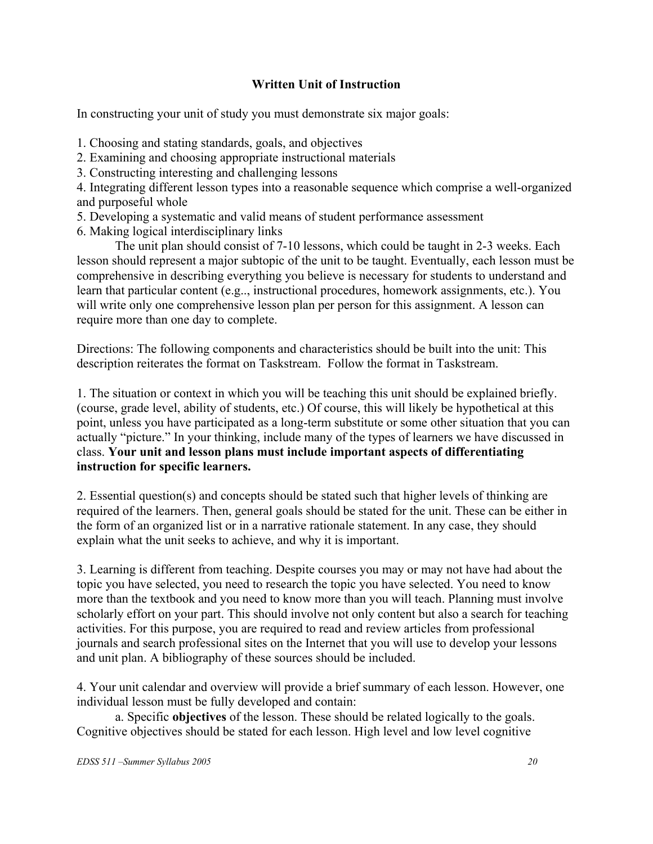# **Written Unit of Instruction**

In constructing your unit of study you must demonstrate six major goals:

- 1. Choosing and stating standards, goals, and objectives
- 2. Examining and choosing appropriate instructional materials
- 3. Constructing interesting and challenging lessons

4. Integrating different lesson types into a reasonable sequence which comprise a well-organized and purposeful whole

- 5. Developing a systematic and valid means of student performance assessment
- 6. Making logical interdisciplinary links

The unit plan should consist of 7-10 lessons, which could be taught in 2-3 weeks. Each lesson should represent a major subtopic of the unit to be taught. Eventually, each lesson must be comprehensive in describing everything you believe is necessary for students to understand and learn that particular content (e.g.., instructional procedures, homework assignments, etc.). You will write only one comprehensive lesson plan per person for this assignment. A lesson can require more than one day to complete.

Directions: The following components and characteristics should be built into the unit: This description reiterates the format on Taskstream. Follow the format in Taskstream.

1. The situation or context in which you will be teaching this unit should be explained briefly. (course, grade level, ability of students, etc.) Of course, this will likely be hypothetical at this point, unless you have participated as a long-term substitute or some other situation that you can actually "picture." In your thinking, include many of the types of learners we have discussed in class. **Your unit and lesson plans must include important aspects of differentiating instruction for specific learners.** 

2. Essential question(s) and concepts should be stated such that higher levels of thinking are required of the learners. Then, general goals should be stated for the unit. These can be either in the form of an organized list or in a narrative rationale statement. In any case, they should explain what the unit seeks to achieve, and why it is important.

3. Learning is different from teaching. Despite courses you may or may not have had about the topic you have selected, you need to research the topic you have selected. You need to know more than the textbook and you need to know more than you will teach. Planning must involve scholarly effort on your part. This should involve not only content but also a search for teaching activities. For this purpose, you are required to read and review articles from professional journals and search professional sites on the Internet that you will use to develop your lessons and unit plan. A bibliography of these sources should be included.

4. Your unit calendar and overview will provide a brief summary of each lesson. However, one individual lesson must be fully developed and contain:

a. Specific **objectives** of the lesson. These should be related logically to the goals. Cognitive objectives should be stated for each lesson. High level and low level cognitive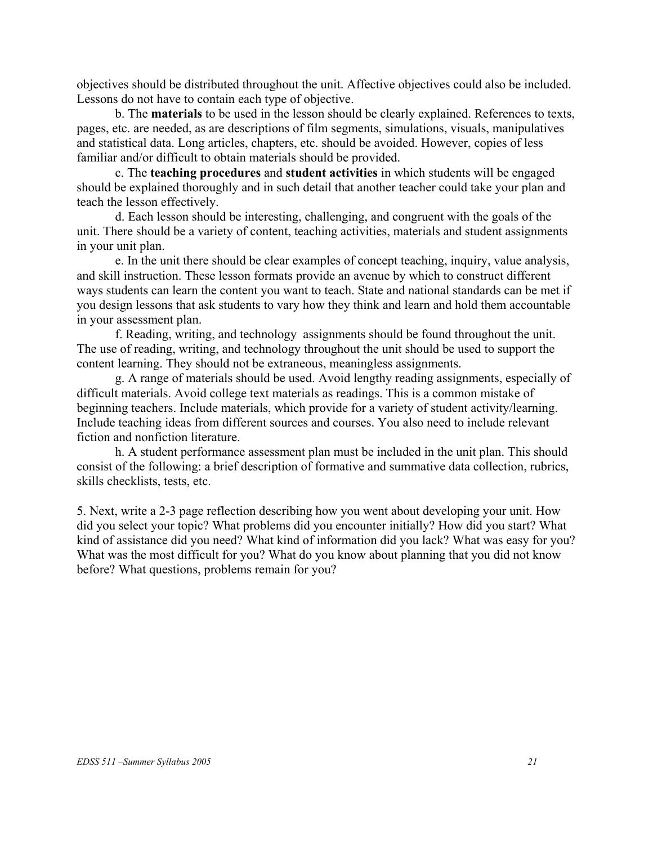objectives should be distributed throughout the unit. Affective objectives could also be included. Lessons do not have to contain each type of objective.

b. The **materials** to be used in the lesson should be clearly explained. References to texts, pages, etc. are needed, as are descriptions of film segments, simulations, visuals, manipulatives and statistical data. Long articles, chapters, etc. should be avoided. However, copies of less familiar and/or difficult to obtain materials should be provided.

c. The **teaching procedures** and **student activities** in which students will be engaged should be explained thoroughly and in such detail that another teacher could take your plan and teach the lesson effectively.

d. Each lesson should be interesting, challenging, and congruent with the goals of the unit. There should be a variety of content, teaching activities, materials and student assignments in your unit plan.

e. In the unit there should be clear examples of concept teaching, inquiry, value analysis, and skill instruction. These lesson formats provide an avenue by which to construct different ways students can learn the content you want to teach. State and national standards can be met if you design lessons that ask students to vary how they think and learn and hold them accountable in your assessment plan.

f. Reading, writing, and technology assignments should be found throughout the unit. The use of reading, writing, and technology throughout the unit should be used to support the content learning. They should not be extraneous, meaningless assignments.

g. A range of materials should be used. Avoid lengthy reading assignments, especially of difficult materials. Avoid college text materials as readings. This is a common mistake of beginning teachers. Include materials, which provide for a variety of student activity/learning. Include teaching ideas from different sources and courses. You also need to include relevant fiction and nonfiction literature.

h. A student performance assessment plan must be included in the unit plan. This should consist of the following: a brief description of formative and summative data collection, rubrics, skills checklists, tests, etc.

5. Next, write a 2-3 page reflection describing how you went about developing your unit. How did you select your topic? What problems did you encounter initially? How did you start? What kind of assistance did you need? What kind of information did you lack? What was easy for you? What was the most difficult for you? What do you know about planning that you did not know before? What questions, problems remain for you?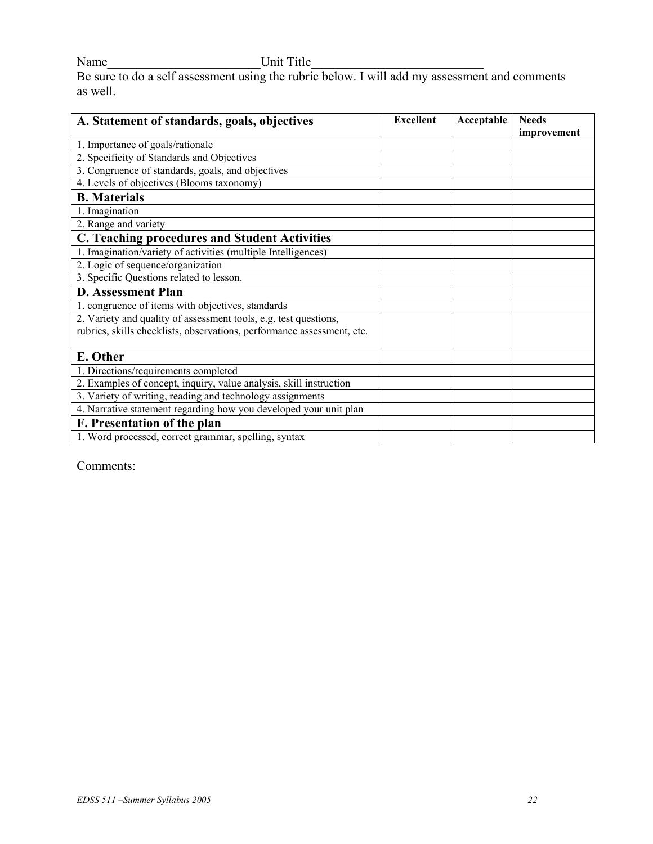Name Unit Title

Be sure to do a self assessment using the rubric below. I will add my assessment and comments as well.

| A. Statement of standards, goals, objectives                           | <b>Excellent</b> | Acceptable | <b>Needs</b> |
|------------------------------------------------------------------------|------------------|------------|--------------|
| 1. Importance of goals/rationale                                       |                  |            | improvement  |
| 2. Specificity of Standards and Objectives                             |                  |            |              |
| 3. Congruence of standards, goals, and objectives                      |                  |            |              |
| 4. Levels of objectives (Blooms taxonomy)                              |                  |            |              |
| <b>B.</b> Materials                                                    |                  |            |              |
| 1. Imagination                                                         |                  |            |              |
| 2. Range and variety                                                   |                  |            |              |
| <b>C. Teaching procedures and Student Activities</b>                   |                  |            |              |
| 1. Imagination/variety of activities (multiple Intelligences)          |                  |            |              |
| 2. Logic of sequence/organization                                      |                  |            |              |
| 3. Specific Questions related to lesson.                               |                  |            |              |
| <b>D. Assessment Plan</b>                                              |                  |            |              |
| 1. congruence of items with objectives, standards                      |                  |            |              |
| 2. Variety and quality of assessment tools, e.g. test questions,       |                  |            |              |
| rubrics, skills checklists, observations, performance assessment, etc. |                  |            |              |
| E. Other                                                               |                  |            |              |
| 1. Directions/requirements completed                                   |                  |            |              |
| 2. Examples of concept, inquiry, value analysis, skill instruction     |                  |            |              |
| 3. Variety of writing, reading and technology assignments              |                  |            |              |
| 4. Narrative statement regarding how you developed your unit plan      |                  |            |              |
| F. Presentation of the plan                                            |                  |            |              |
| 1. Word processed, correct grammar, spelling, syntax                   |                  |            |              |

Comments: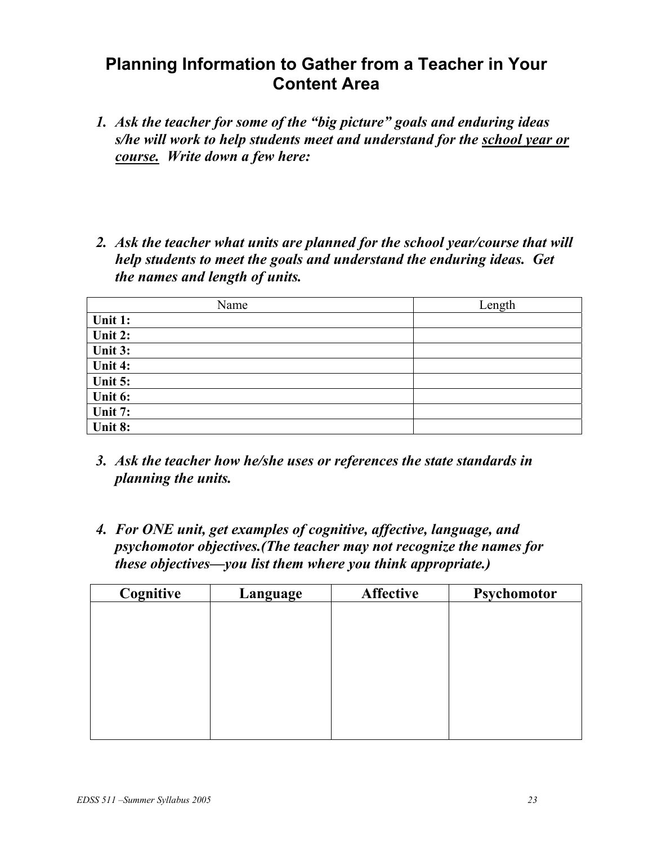# **Planning Information to Gather from a Teacher in Your Content Area**

- *1. Ask the teacher for some of the "big picture" goals and enduring ideas s/he will work to help students meet and understand for the school year or course. Write down a few here:*
- *2. Ask the teacher what units are planned for the school year/course that will help students to meet the goals and understand the enduring ideas. Get the names and length of units.*

| Name    | Length |
|---------|--------|
| Unit 1: |        |
| Unit 2: |        |
| Unit 3: |        |
| Unit 4: |        |
| Unit 5: |        |
| Unit 6: |        |
| Unit 7: |        |
| Unit 8: |        |

- *3. Ask the teacher how he/she uses or references the state standards in planning the units.*
- *4. For ONE unit, get examples of cognitive, affective, language, and psychomotor objectives.(The teacher may not recognize the names for these objectives—you list them where you think appropriate.)*

| Cognitive | Language | <b>Affective</b> | Psychomotor |
|-----------|----------|------------------|-------------|
|           |          |                  |             |
|           |          |                  |             |
|           |          |                  |             |
|           |          |                  |             |
|           |          |                  |             |
|           |          |                  |             |
|           |          |                  |             |
|           |          |                  |             |